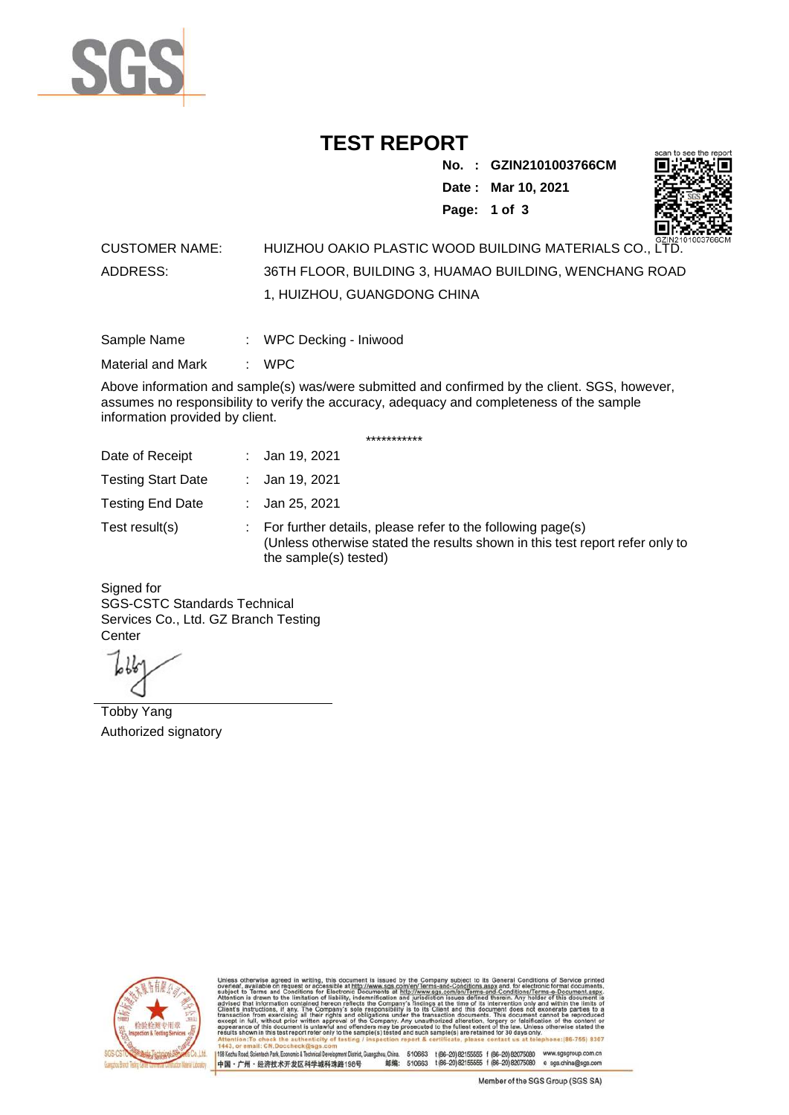

## **TEST REPORT**

**No. : GZIN2101003766CM Date : Mar 10, 2021 Page: 1 of 3** 



## CUSTOMER NAME: HUIZHOU OAKIO PLASTIC WOOD BUILDING MATERIALS CO., LTD. ADDRESS: 36TH FLOOR, BUILDING 3, HUAMAO BUILDING, WENCHANG ROAD 1, HUIZHOU, GUANGDONG CHINA

| Sample Name | WPC Decking - Iniwood |  |
|-------------|-----------------------|--|
|             |                       |  |

Material and Mark : WPC

Above information and sample(s) was/were submitted and confirmed by the client. SGS, however, assumes no responsibility to verify the accuracy, adequacy and completeness of the sample information provided by client.

\*\*\*\*\*\*\*\*\*\*\*

| Date of Receipt           | : Jan 19, 2021                                                                                                                                                        |
|---------------------------|-----------------------------------------------------------------------------------------------------------------------------------------------------------------------|
| <b>Testing Start Date</b> | : Jan 19, 2021                                                                                                                                                        |
| <b>Testing End Date</b>   | : Jan 25, 2021                                                                                                                                                        |
| Test result(s)            | : For further details, please refer to the following page(s)<br>(Unless otherwise stated the results shown in this test report refer only to<br>the sample(s) tested) |

Signed for SGS-CSTC Standards Technical Services Co., Ltd. GZ Branch Testing **Center** 

Tobby Yang Authorized signatory



510663 t(86-20) 82155555 f (86-20) 82075080 www.sgsgroup.com.cn<br>510663 t(86-20) 82155555 f (86-20) 82075080 e sgs.china@sgs.com 198 Kezhu Road, Scientech Park, Economic & Technical Devel gzhou, China. ant District G 邮编: 中国·广州·经济技术开发区科学城科珠路198号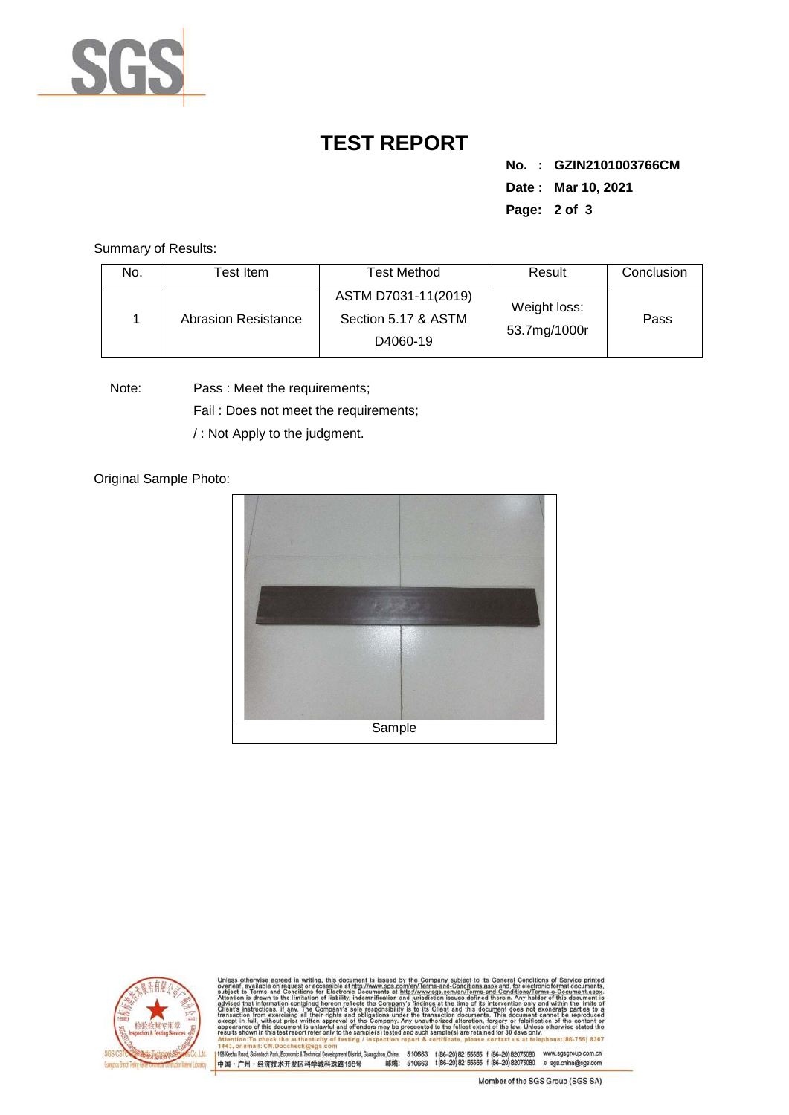

## **TEST REPORT**

**No. : GZIN2101003766CM Date : Mar 10, 2021 Page: 2 of 3** 

Summary of Results:

| No. | Гest Item.          | <b>Test Method</b>                                     | Result                       | Conclusion |
|-----|---------------------|--------------------------------------------------------|------------------------------|------------|
|     | Abrasion Resistance | ASTM D7031-11(2019)<br>Section 5.17 & ASTM<br>D4060-19 | Weight loss:<br>53.7mg/1000r | Pass       |

Note: Pass : Meet the requirements;

Fail : Does not meet the requirements;

/ : Not Apply to the judgment.

Original Sample Photo:





Conditions/Terms-e-Do<br>rein: Any holder of this 8307 198 Kezhu Road, Scientech Park, Economic & Technical Develop 中国·广州·经济技术开发区科学城科珠路198号